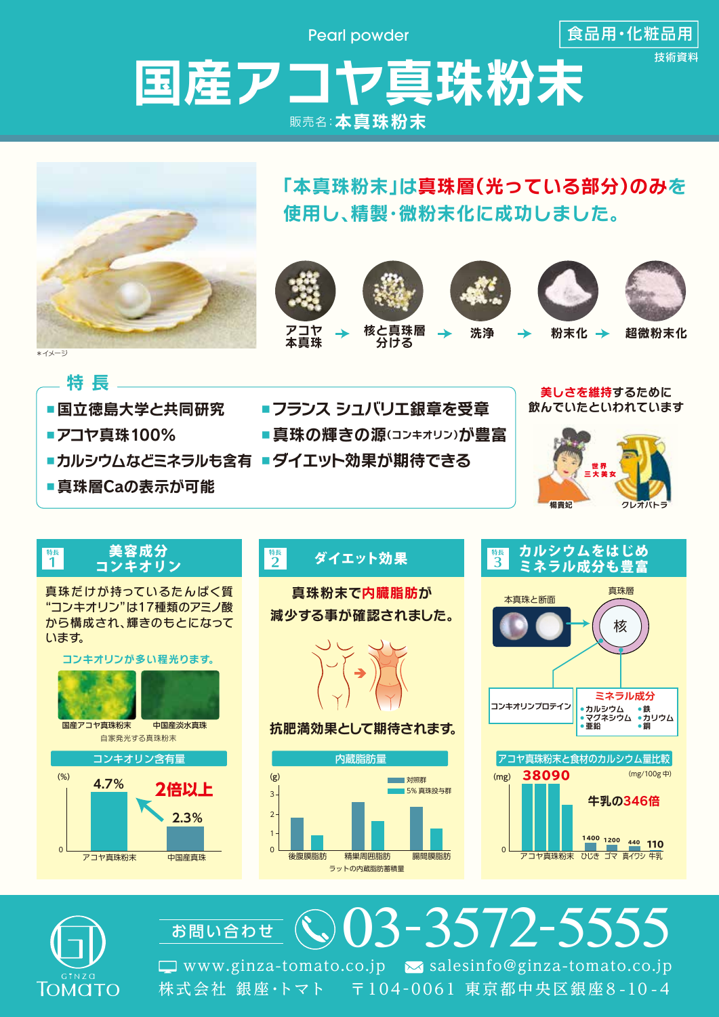Pearl powder

食品用・化粧品用

## 国産アコヤ真珠粉末 販売名:本真珠粉末







1400 1200 440 **110** 

アコヤ直珠粉末 ひじき ゴマ 直イワシ 牛乳



**2.3%**

アコヤ真珠粉末 中国産真珠

03-3572-5555 株式会社 銀座・トマト 〒104 -0061 東京都中央区銀座 8 -10 - 4  $\Box$  www.ginza-tomato.co.jp  $\sim$  salesinfo@ginza-tomato.co.jp お問い合わせ